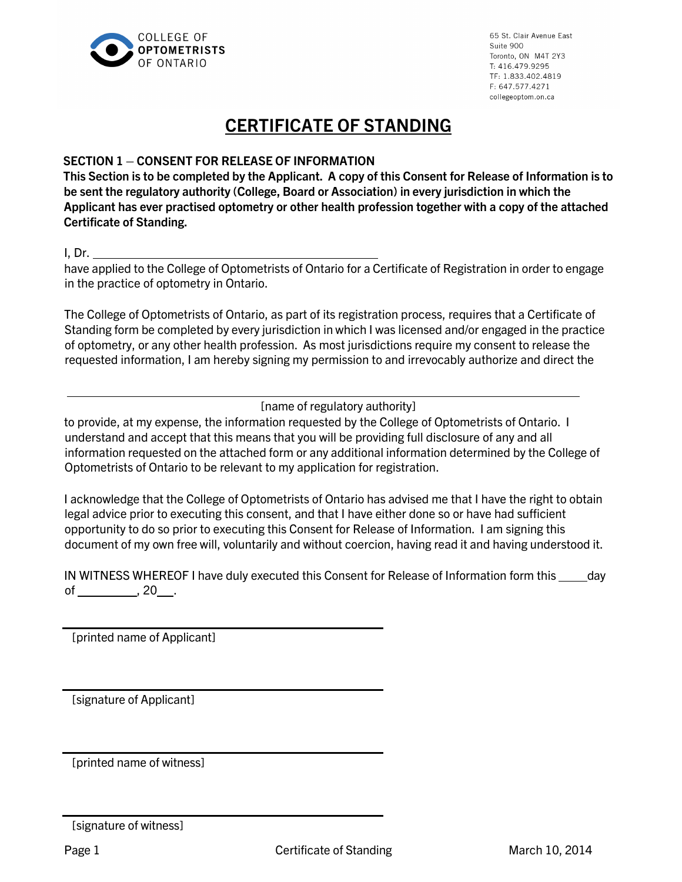

## CERTIFICATE OF STANDING

## SECTION 1 – CONSENT FOR RELEASE OF INFORMATION

This Section is to be completed by the Applicant. A copy of this Consent for Release of Information is to be sent the regulatory authority (College, Board or Association) in every jurisdiction in which the Applicant has ever practised optometry or other health profession together with a copy of the attached Certificate of Standing.

I, Dr.

have applied to the College of Optometrists of Ontario for a Certificate of Registration in order to engage in the practice of optometry in Ontario.

The College of Optometrists of Ontario, as part of its registration process, requires that a Certificate of Standing form be completed by every jurisdiction in which I was licensed and/or engaged in the practice of optometry, or any other health profession. As most jurisdictions require my consent to release the requested information, I am hereby signing my permission to and irrevocably authorize and direct the

[name of regulatory authority]

to provide, at my expense, the information requested by the College of Optometrists of Ontario. I understand and accept that this means that you will be providing full disclosure of any and all information requested on the attached form or any additional information determined by the College of Optometrists of Ontario to be relevant to my application for registration.

I acknowledge that the College of Optometrists of Ontario has advised me that I have the right to obtain legal advice prior to executing this consent, and that I have either done so or have had sufficient opportunity to do so prior to executing this Consent for Release of Information. I am signing this document of my own free will, voluntarily and without coercion, having read it and having understood it.

IN WITNESS WHEREOF I have duly executed this Consent for Release of Information form this \_\_\_\_\_ day of  $\_\_\_\_\_$ , 20  $\_\_\_\$ .

[printed name of Applicant]

[signature of Applicant]

[printed name of witness]

<sup>[</sup>signature of witness]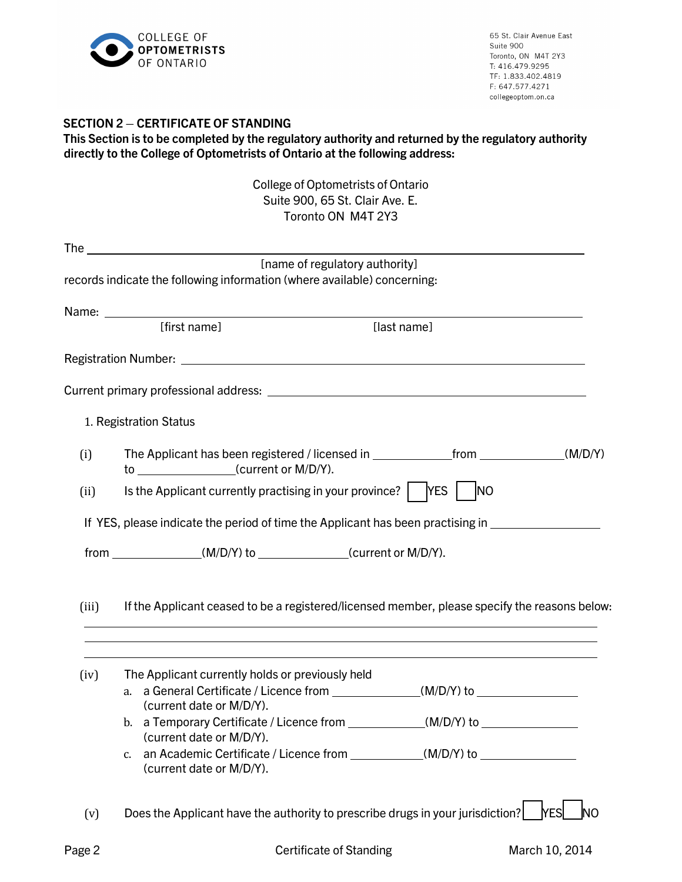

## SECTION 2 – CERTIFICATE OF STANDING

| This Section is to be completed by the regulatory authority and returned by the regulatory authority |  |
|------------------------------------------------------------------------------------------------------|--|
| directly to the College of Optometrists of Ontario at the following address:                         |  |

College of Optometrists of Ontario Suite 900, 65 St. Clair Ave. E. Toronto ON M4T 2Y3

|        |                                                                                                                                                                                                                                      | <u>UIILU VII IVITI 41J</u>                                                       |                                                                                                                                                                                                                               |           |
|--------|--------------------------------------------------------------------------------------------------------------------------------------------------------------------------------------------------------------------------------------|----------------------------------------------------------------------------------|-------------------------------------------------------------------------------------------------------------------------------------------------------------------------------------------------------------------------------|-----------|
|        | The <u>contract of the second contract of the second contract of the second contract of the second contract of the second contract of the second contract of the second contract of the second contract of the second contract o</u> |                                                                                  |                                                                                                                                                                                                                               |           |
|        |                                                                                                                                                                                                                                      | [name of regulatory authority]                                                   |                                                                                                                                                                                                                               |           |
|        | records indicate the following information (where available) concerning:                                                                                                                                                             |                                                                                  |                                                                                                                                                                                                                               |           |
|        | Name: <u>Name:</u> Name: 2008. All 2008. All 2008. All 2008. All 2008. All 2008. All 2008. All 2008. All 2008. All 2008. All 2008. All 2008. All 2008. All 2008. All 2008. All 2008. All 2008. All 2008. All 2008. All 2008. All 20  |                                                                                  |                                                                                                                                                                                                                               |           |
|        | [first name]                                                                                                                                                                                                                         | [last name]                                                                      |                                                                                                                                                                                                                               |           |
|        |                                                                                                                                                                                                                                      |                                                                                  |                                                                                                                                                                                                                               |           |
|        |                                                                                                                                                                                                                                      |                                                                                  |                                                                                                                                                                                                                               |           |
|        | 1. Registration Status                                                                                                                                                                                                               |                                                                                  |                                                                                                                                                                                                                               |           |
| (i)    | The Applicant has been registered / licensed in _________________________________(M/D/Y)<br>to ___________________(current or M/D/Y).                                                                                                |                                                                                  |                                                                                                                                                                                                                               |           |
| (ii)   | Is the Applicant currently practising in your province? $\vert$ [YES $\vert$                                                                                                                                                         |                                                                                  | <b>NO</b>                                                                                                                                                                                                                     |           |
|        | If YES, please indicate the period of time the Applicant has been practising in ___________________                                                                                                                                  |                                                                                  |                                                                                                                                                                                                                               |           |
|        | from _______________(M/D/Y) to _____________(current or M/D/Y).                                                                                                                                                                      |                                                                                  |                                                                                                                                                                                                                               |           |
| (iii)  | If the Applicant ceased to be a registered/licensed member, please specify the reasons below:                                                                                                                                        | ,我们也不会有什么。""我们的人,我们也不会有什么?""我们的人,我们也不会有什么?""我们的人,我们也不会有什么?""我们的人,我们也不会有什么?""我们的人 |                                                                                                                                                                                                                               |           |
| (iv)   | The Applicant currently holds or previously held<br>a. a General Certificate / Licence from ______________(M/D/Y) to _______________                                                                                                 |                                                                                  | the control of the control of the control of the control of the control of the control of the control of the control of the control of the control of the control of the control of the control of the control of the control |           |
|        | (current date or M/D/Y).                                                                                                                                                                                                             |                                                                                  |                                                                                                                                                                                                                               |           |
|        | b. a Temporary Certificate / Licence from ______________(M/D/Y) to _____________<br>(current date or M/D/Y).                                                                                                                         |                                                                                  |                                                                                                                                                                                                                               |           |
|        | C.<br>(current date or M/D/Y).                                                                                                                                                                                                       | an Academic Certificate / Licence from ______________(M/D/Y) to ________________ |                                                                                                                                                                                                                               |           |
| (v)    | Does the Applicant have the authority to prescribe drugs in your jurisdiction?                                                                                                                                                       |                                                                                  | <b>NESI</b>                                                                                                                                                                                                                   | <b>NO</b> |
| Page 2 |                                                                                                                                                                                                                                      | Certificate of Standing                                                          | March 10, 2014                                                                                                                                                                                                                |           |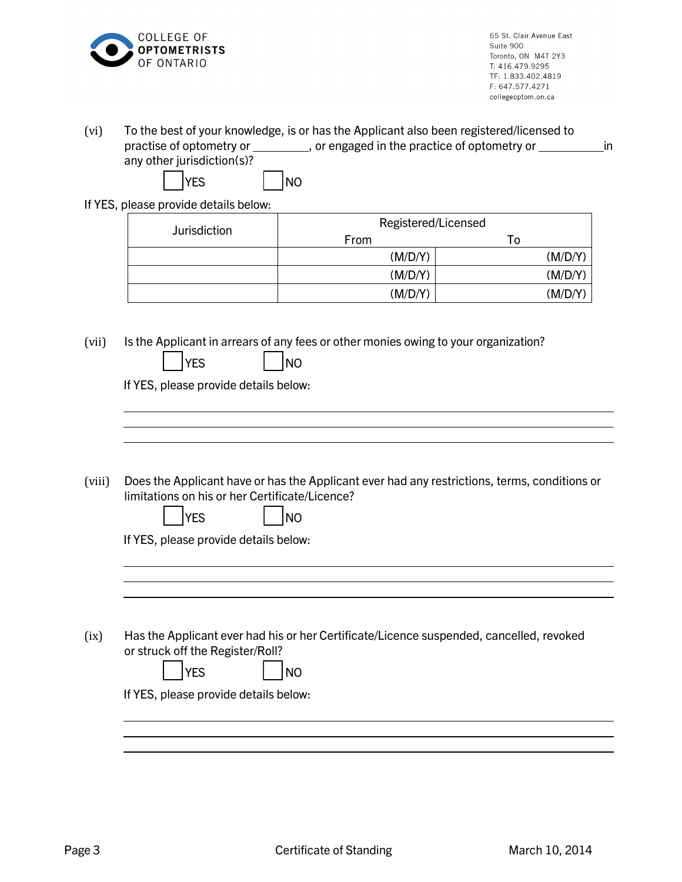

|                                       |                     | in                                                                                                                                                                                                                                                                                                                                                                                                                                                                                                                                                                                                                                                                                                                     |
|---------------------------------------|---------------------|------------------------------------------------------------------------------------------------------------------------------------------------------------------------------------------------------------------------------------------------------------------------------------------------------------------------------------------------------------------------------------------------------------------------------------------------------------------------------------------------------------------------------------------------------------------------------------------------------------------------------------------------------------------------------------------------------------------------|
| any other jurisdiction(s)?            |                     |                                                                                                                                                                                                                                                                                                                                                                                                                                                                                                                                                                                                                                                                                                                        |
|                                       | <b>NO</b>           |                                                                                                                                                                                                                                                                                                                                                                                                                                                                                                                                                                                                                                                                                                                        |
| If YES, please provide details below: |                     |                                                                                                                                                                                                                                                                                                                                                                                                                                                                                                                                                                                                                                                                                                                        |
| Jurisdiction                          | Registered/Licensed |                                                                                                                                                                                                                                                                                                                                                                                                                                                                                                                                                                                                                                                                                                                        |
|                                       |                     | To                                                                                                                                                                                                                                                                                                                                                                                                                                                                                                                                                                                                                                                                                                                     |
|                                       |                     | (M/D/Y)<br>(M/D/Y)                                                                                                                                                                                                                                                                                                                                                                                                                                                                                                                                                                                                                                                                                                     |
|                                       |                     | (M/D/Y)                                                                                                                                                                                                                                                                                                                                                                                                                                                                                                                                                                                                                                                                                                                |
|                                       |                     |                                                                                                                                                                                                                                                                                                                                                                                                                                                                                                                                                                                                                                                                                                                        |
| <b>YES</b>                            | <b>NO</b>           |                                                                                                                                                                                                                                                                                                                                                                                                                                                                                                                                                                                                                                                                                                                        |
|                                       |                     |                                                                                                                                                                                                                                                                                                                                                                                                                                                                                                                                                                                                                                                                                                                        |
| <b>YES</b>                            | N <sub>O</sub>      |                                                                                                                                                                                                                                                                                                                                                                                                                                                                                                                                                                                                                                                                                                                        |
|                                       |                     |                                                                                                                                                                                                                                                                                                                                                                                                                                                                                                                                                                                                                                                                                                                        |
|                                       |                     |                                                                                                                                                                                                                                                                                                                                                                                                                                                                                                                                                                                                                                                                                                                        |
|                                       |                     |                                                                                                                                                                                                                                                                                                                                                                                                                                                                                                                                                                                                                                                                                                                        |
|                                       |                     |                                                                                                                                                                                                                                                                                                                                                                                                                                                                                                                                                                                                                                                                                                                        |
| <b>YES</b>                            | <b>NO</b>           |                                                                                                                                                                                                                                                                                                                                                                                                                                                                                                                                                                                                                                                                                                                        |
|                                       |                     |                                                                                                                                                                                                                                                                                                                                                                                                                                                                                                                                                                                                                                                                                                                        |
|                                       |                     |                                                                                                                                                                                                                                                                                                                                                                                                                                                                                                                                                                                                                                                                                                                        |
|                                       | <b>YES</b>          | To the best of your knowledge, is or has the Applicant also been registered/licensed to<br>practise of optometry or __________, or engaged in the practice of optometry or<br>From<br>(M/D/Y)<br>(M/D/Y)<br>(M/D/Y)<br>Is the Applicant in arrears of any fees or other monies owing to your organization?<br>If YES, please provide details below:<br>Does the Applicant have or has the Applicant ever had any restrictions, terms, conditions or<br>limitations on his or her Certificate/Licence?<br>If YES, please provide details below:<br>Has the Applicant ever had his or her Certificate/Licence suspended, cancelled, revoked<br>or struck off the Register/Roll?<br>If YES, please provide details below: |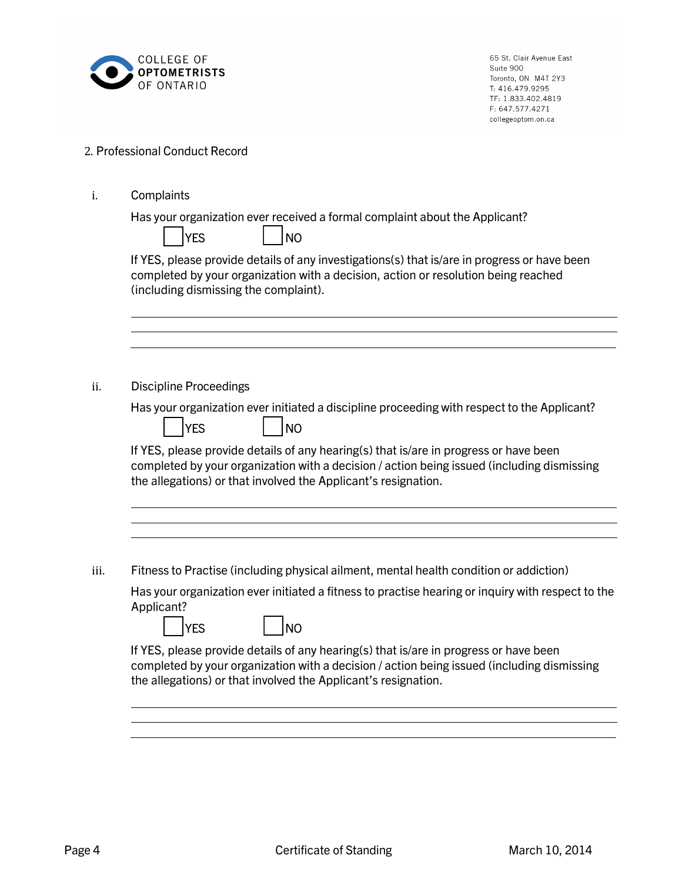

## 2. Professional Conduct Record

|  | Complaints |
|--|------------|
|--|------------|

Has your organization ever received a formal complaint about the Applicant?

If YES, please provide details of any investigations(s) that is/are in progress or have been completed by your organization with a decision, action or resolution being reached (including dismissing the complaint).

ii. Discipline Proceedings

Has your organization ever initiated a discipline proceeding with respect to the Applicant?

| IVE | I NO |
|-----|------|
|-----|------|

If YES, please provide details of any hearing(s) that is/are in progress or have been completed by your organization with a decision / action being issued (including dismissing the allegations) or that involved the Applicant's resignation.

iii. Fitness to Practise (including physical ailment, mental health condition or addiction)

Has your organization ever initiated a fitness to practise hearing or inquiry with respect to the Applicant?

| YES |  | INO |
|-----|--|-----|
|-----|--|-----|

If YES, please provide details of any hearing(s) that is/are in progress or have been completed by your organization with a decision / action being issued (including dismissing the allegations) or that involved the Applicant's resignation.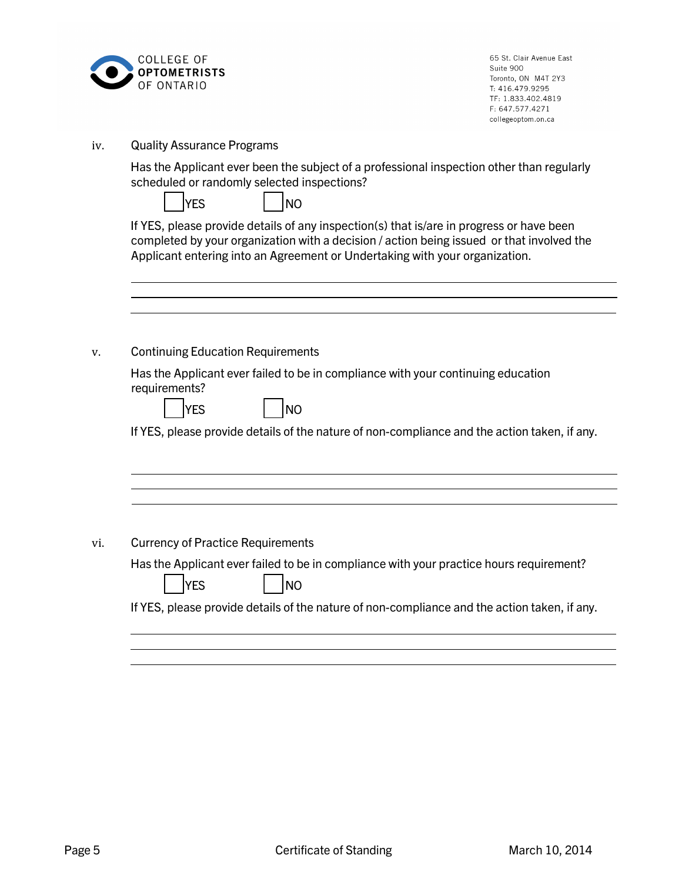

iv. Quality Assurance Programs

Has the Applicant ever been the subject of a professional inspection other than regularly scheduled or randomly selected inspections?

| <b>IYES</b> |  | NO |
|-------------|--|----|
|-------------|--|----|

If YES, please provide details of any inspection(s) that is/are in progress or have been completed by your organization with a decision / action being issued or that involved the Applicant entering into an Agreement or Undertaking with your organization.

| <b>Continuing Education Requirements</b>                                                                                   |
|----------------------------------------------------------------------------------------------------------------------------|
| Has the Applicant ever failed to be in compliance with your continuing education<br>requirements?<br>YES<br>N <sub>O</sub> |
| If YES, please provide details of the nature of non-compliance and the action taken, if any.                               |
|                                                                                                                            |
| <b>Currency of Practice Requirements</b>                                                                                   |
|                                                                                                                            |